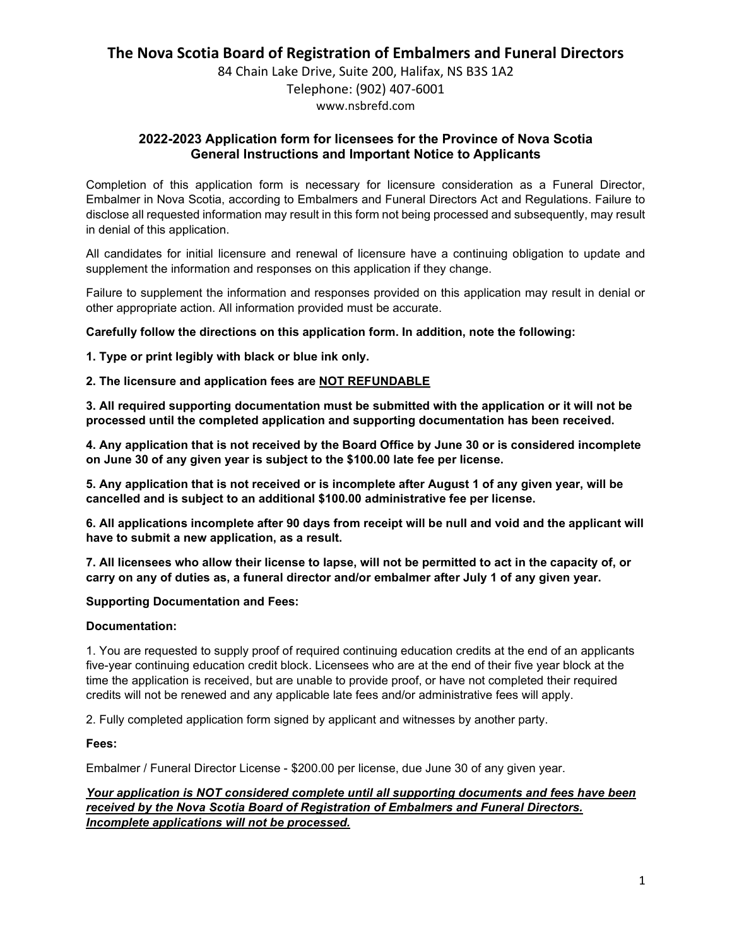84 Chain Lake Drive, Suite 200, Halifax, NS B3S 1A2 Telephone: (902) 407-6001 www.nsbrefd.com

### **2022-2023 Application form for licensees for the Province of Nova Scotia General Instructions and Important Notice to Applicants**

Completion of this application form is necessary for licensure consideration as a Funeral Director, Embalmer in Nova Scotia, according to Embalmers and Funeral Directors Act and Regulations. Failure to disclose all requested information may result in this form not being processed and subsequently, may result in denial of this application.

All candidates for initial licensure and renewal of licensure have a continuing obligation to update and supplement the information and responses on this application if they change.

Failure to supplement the information and responses provided on this application may result in denial or other appropriate action. All information provided must be accurate.

**Carefully follow the directions on this application form. In addition, note the following:**

**1. Type or print legibly with black or blue ink only.**

#### **2. The licensure and application fees are NOT REFUNDABLE**

**3. All required supporting documentation must be submitted with the application or it will not be processed until the completed application and supporting documentation has been received.**

**4. Any application that is not received by the Board Office by June 30 or is considered incomplete on June 30 of any given year is subject to the \$100.00 late fee per license.** 

**5. Any application that is not received or is incomplete after August 1 of any given year, will be cancelled and is subject to an additional \$100.00 administrative fee per license.**

**6. All applications incomplete after 90 days from receipt will be null and void and the applicant will have to submit a new application, as a result.**

**7. All licensees who allow their license to lapse, will not be permitted to act in the capacity of, or carry on any of duties as, a funeral director and/or embalmer after July 1 of any given year.**

#### **Supporting Documentation and Fees:**

#### **Documentation:**

1. You are requested to supply proof of required continuing education credits at the end of an applicants five-year continuing education credit block. Licensees who are at the end of their five year block at the time the application is received, but are unable to provide proof, or have not completed their required credits will not be renewed and any applicable late fees and/or administrative fees will apply.

2. Fully completed application form signed by applicant and witnesses by another party.

#### **Fees:**

Embalmer / Funeral Director License - \$200.00 per license, due June 30 of any given year.

#### *Your application is NOT considered complete until all supporting documents and fees have been received by the Nova Scotia Board of Registration of Embalmers and Funeral Directors. Incomplete applications will not be processed.*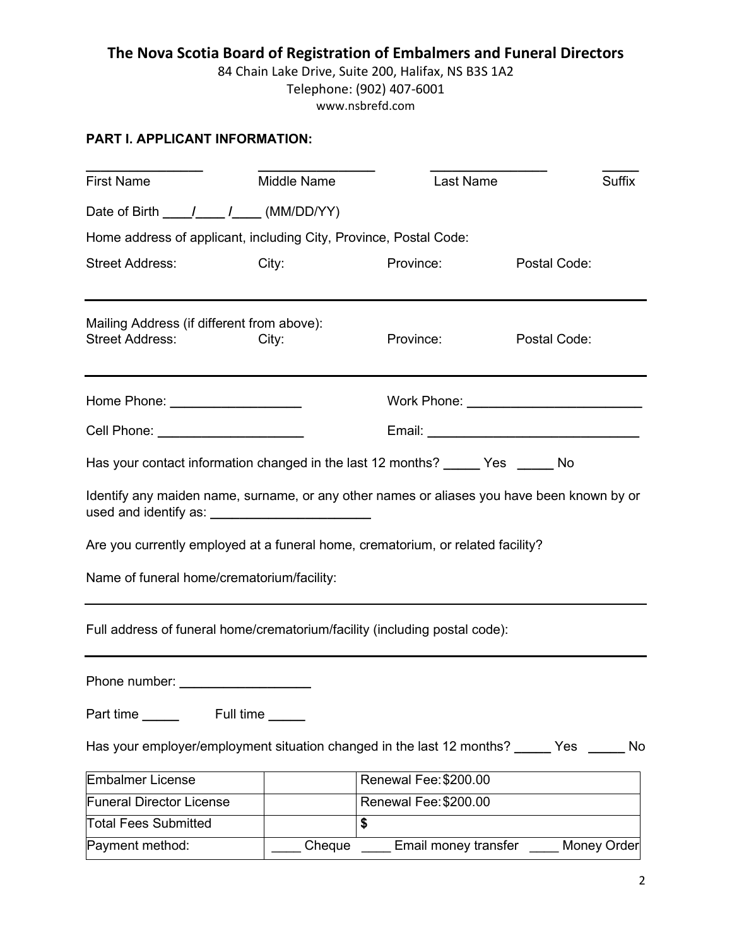84 Chain Lake Drive, Suite 200, Halifax, NS B3S 1A2 Telephone: (902) 407-6001 www.nsbrefd.com

### **PART I. APPLICANT INFORMATION:**

| <b>First Name</b>                                                                                                                                 | Middle Name | Last Name             | <b>Suffix</b> |
|---------------------------------------------------------------------------------------------------------------------------------------------------|-------------|-----------------------|---------------|
|                                                                                                                                                   |             |                       |               |
| Home address of applicant, including City, Province, Postal Code:                                                                                 |             |                       |               |
| <b>Street Address:</b>                                                                                                                            | City:       | Province:             | Postal Code:  |
| Mailing Address (if different from above):<br><b>Street Address:</b>                                                                              | City:       | Province:             | Postal Code:  |
| Home Phone: _____________________                                                                                                                 |             |                       |               |
| Cell Phone: ______________________                                                                                                                |             |                       |               |
| Has your contact information changed in the last 12 months? ______ Yes ______ No                                                                  |             |                       |               |
| Identify any maiden name, surname, or any other names or aliases you have been known by or<br>used and identify as: _____________________________ |             |                       |               |
| Are you currently employed at a funeral home, crematorium, or related facility?                                                                   |             |                       |               |
| Name of funeral home/crematorium/facility:                                                                                                        |             |                       |               |
| Full address of funeral home/crematorium/facility (including postal code):                                                                        |             |                       |               |
|                                                                                                                                                   |             |                       |               |
|                                                                                                                                                   |             |                       |               |
| Has your employer/employment situation changed in the last 12 months? ______ Yes ______ No                                                        |             |                       |               |
| <b>Embalmer License</b>                                                                                                                           |             | Renewal Fee: \$200.00 |               |
| <b>Funeral Director License</b>                                                                                                                   |             | Renewal Fee: \$200.00 |               |
| <b>Total Fees Submitted</b>                                                                                                                       |             | \$                    |               |
| Payment method:                                                                                                                                   | Cheque      | Email money transfer  | Money Order   |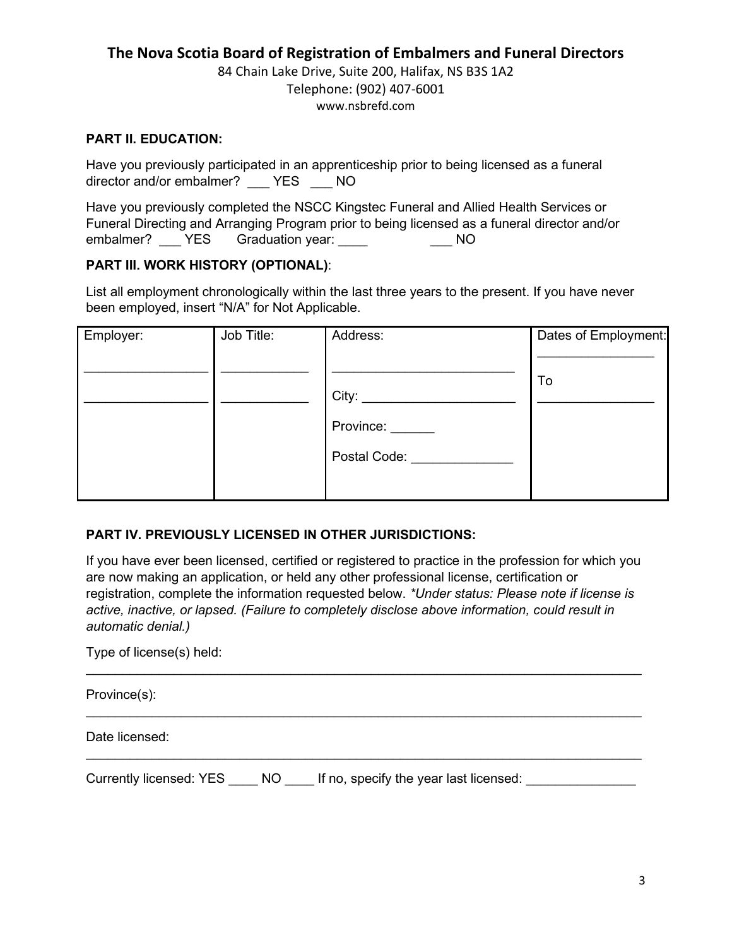84 Chain Lake Drive, Suite 200, Halifax, NS B3S 1A2 Telephone: (902) 407-6001 www.nsbrefd.com

### **PART II. EDUCATION:**

Have you previously participated in an apprenticeship prior to being licensed as a funeral director and/or embalmer? YES NO

Have you previously completed the NSCC Kingstec Funeral and Allied Health Services or Funeral Directing and Arranging Program prior to being licensed as a funeral director and/or embalmer? \_\_\_\_ YES Graduation year: \_\_\_\_ \_\_\_ \_\_\_\_ NO

### **PART III. WORK HISTORY (OPTIONAL)**:

List all employment chronologically within the last three years to the present. If you have never been employed, insert "N/A" for Not Applicable.

| Employer: | Job Title: | Address:     | Dates of Employment: |
|-----------|------------|--------------|----------------------|
|           |            |              |                      |
|           |            |              | To                   |
|           |            | City:        |                      |
|           |            | Province:    |                      |
|           |            | Postal Code: |                      |
|           |            |              |                      |

### **PART IV. PREVIOUSLY LICENSED IN OTHER JURISDICTIONS:**

If you have ever been licensed, certified or registered to practice in the profession for which you are now making an application, or held any other professional license, certification or registration, complete the information requested below. *\*Under status: Please note if license is active, inactive, or lapsed. (Failure to completely disclose above information, could result in automatic denial.)*

 $\mathcal{L}_\mathcal{L} = \{ \mathcal{L}_\mathcal{L} = \{ \mathcal{L}_\mathcal{L} = \{ \mathcal{L}_\mathcal{L} = \{ \mathcal{L}_\mathcal{L} = \{ \mathcal{L}_\mathcal{L} = \{ \mathcal{L}_\mathcal{L} = \{ \mathcal{L}_\mathcal{L} = \{ \mathcal{L}_\mathcal{L} = \{ \mathcal{L}_\mathcal{L} = \{ \mathcal{L}_\mathcal{L} = \{ \mathcal{L}_\mathcal{L} = \{ \mathcal{L}_\mathcal{L} = \{ \mathcal{L}_\mathcal{L} = \{ \mathcal{L}_\mathcal{$ 

 $\mathcal{L}_\mathcal{L} = \{ \mathcal{L}_\mathcal{L} = \{ \mathcal{L}_\mathcal{L} = \{ \mathcal{L}_\mathcal{L} = \{ \mathcal{L}_\mathcal{L} = \{ \mathcal{L}_\mathcal{L} = \{ \mathcal{L}_\mathcal{L} = \{ \mathcal{L}_\mathcal{L} = \{ \mathcal{L}_\mathcal{L} = \{ \mathcal{L}_\mathcal{L} = \{ \mathcal{L}_\mathcal{L} = \{ \mathcal{L}_\mathcal{L} = \{ \mathcal{L}_\mathcal{L} = \{ \mathcal{L}_\mathcal{L} = \{ \mathcal{L}_\mathcal{$ 

\_\_\_\_\_\_\_\_\_\_\_\_\_\_\_\_\_\_\_\_\_\_\_\_\_\_\_\_\_\_\_\_\_\_\_\_\_\_\_\_\_\_\_\_\_\_\_\_\_\_\_\_\_\_\_\_\_\_\_\_\_\_\_\_\_\_\_\_\_\_\_\_\_\_\_\_

Type of license(s) held:

Province(s):

Date licensed:

Currently licensed: YES \_\_\_\_ NO \_\_\_\_ If no, specify the year last licensed: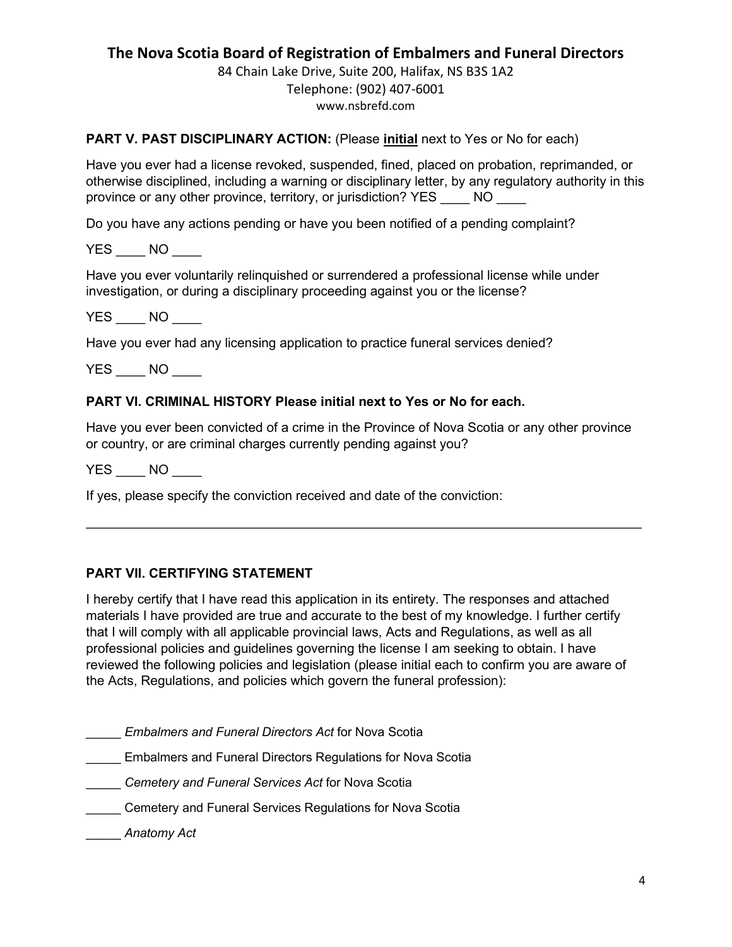84 Chain Lake Drive, Suite 200, Halifax, NS B3S 1A2 Telephone: (902) 407-6001 www.nsbrefd.com

### **PART V. PAST DISCIPLINARY ACTION:** (Please **initial** next to Yes or No for each)

Have you ever had a license revoked, suspended, fined, placed on probation, reprimanded, or otherwise disciplined, including a warning or disciplinary letter, by any regulatory authority in this province or any other province, territory, or jurisdiction? YES NO

Do you have any actions pending or have you been notified of a pending complaint?

YES NO

Have you ever voluntarily relinquished or surrendered a professional license while under investigation, or during a disciplinary proceeding against you or the license?

YES NO

Have you ever had any licensing application to practice funeral services denied?

YES NO

#### **PART VI. CRIMINAL HISTORY Please initial next to Yes or No for each.**

Have you ever been convicted of a crime in the Province of Nova Scotia or any other province or country, or are criminal charges currently pending against you?

 $\mathcal{L} = \{ \mathcal{L} = \{ \mathcal{L} = \mathcal{L} \} \cup \{ \mathcal{L} = \{ \mathcal{L} = \mathcal{L} \} \cup \{ \mathcal{L} = \{ \mathcal{L} = \mathcal{L} \} \cup \{ \mathcal{L} = \{ \mathcal{L} = \mathcal{L} \} \cup \{ \mathcal{L} = \{ \mathcal{L} = \mathcal{L} \} \cup \{ \mathcal{L} = \{ \mathcal{L} = \mathcal{L} \} \cup \{ \mathcal{L} = \{ \mathcal{L} = \mathcal{L} \} \cup \{ \mathcal{L} = \{ \mathcal{L}$ 

YES NO

If yes, please specify the conviction received and date of the conviction:

#### **PART VII. CERTIFYING STATEMENT**

I hereby certify that I have read this application in its entirety. The responses and attached materials I have provided are true and accurate to the best of my knowledge. I further certify that I will comply with all applicable provincial laws, Acts and Regulations, as well as all professional policies and guidelines governing the license I am seeking to obtain. I have reviewed the following policies and legislation (please initial each to confirm you are aware of the Acts, Regulations, and policies which govern the funeral profession):

\_\_\_\_\_ *Embalmers and Funeral Directors Act* for Nova Scotia

\_\_\_\_\_ Embalmers and Funeral Directors Regulations for Nova Scotia

\_\_\_\_\_ *Cemetery and Funeral Services Act* for Nova Scotia

**Cemetery and Funeral Services Regulations for Nova Scotia** 

\_\_\_\_\_ *[Anatomy Act](https://nslegislature.ca/sites/default/files/legc/statutes/anatomy.htm)*